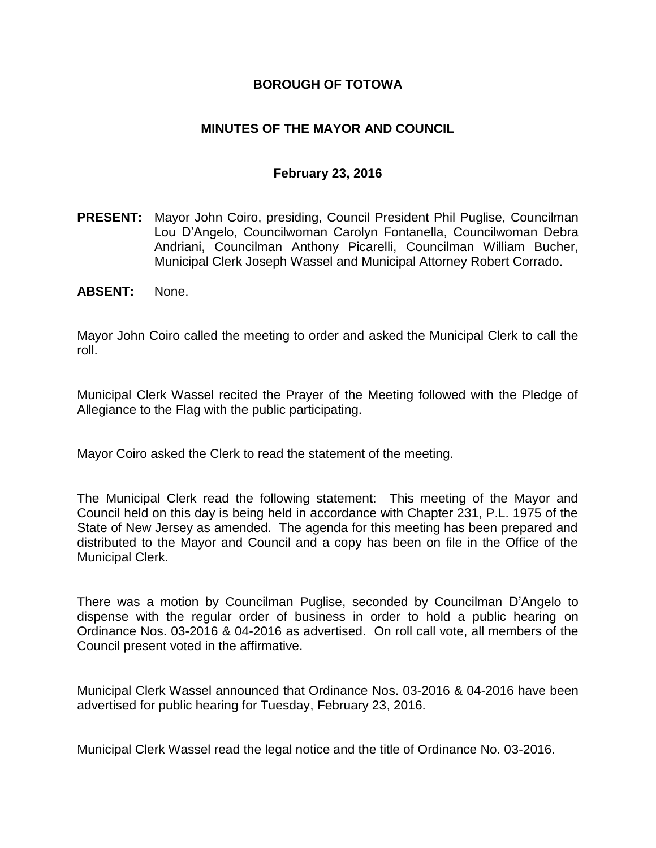### **BOROUGH OF TOTOWA**

### **MINUTES OF THE MAYOR AND COUNCIL**

#### **February 23, 2016**

- **PRESENT:** Mayor John Coiro, presiding, Council President Phil Puglise, Councilman Lou D'Angelo, Councilwoman Carolyn Fontanella, Councilwoman Debra Andriani, Councilman Anthony Picarelli, Councilman William Bucher, Municipal Clerk Joseph Wassel and Municipal Attorney Robert Corrado.
- **ABSENT:** None.

Mayor John Coiro called the meeting to order and asked the Municipal Clerk to call the roll.

Municipal Clerk Wassel recited the Prayer of the Meeting followed with the Pledge of Allegiance to the Flag with the public participating.

Mayor Coiro asked the Clerk to read the statement of the meeting.

The Municipal Clerk read the following statement: This meeting of the Mayor and Council held on this day is being held in accordance with Chapter 231, P.L. 1975 of the State of New Jersey as amended. The agenda for this meeting has been prepared and distributed to the Mayor and Council and a copy has been on file in the Office of the Municipal Clerk.

There was a motion by Councilman Puglise, seconded by Councilman D'Angelo to dispense with the regular order of business in order to hold a public hearing on Ordinance Nos. 03-2016 & 04-2016 as advertised. On roll call vote, all members of the Council present voted in the affirmative.

Municipal Clerk Wassel announced that Ordinance Nos. 03-2016 & 04-2016 have been advertised for public hearing for Tuesday, February 23, 2016.

Municipal Clerk Wassel read the legal notice and the title of Ordinance No. 03-2016.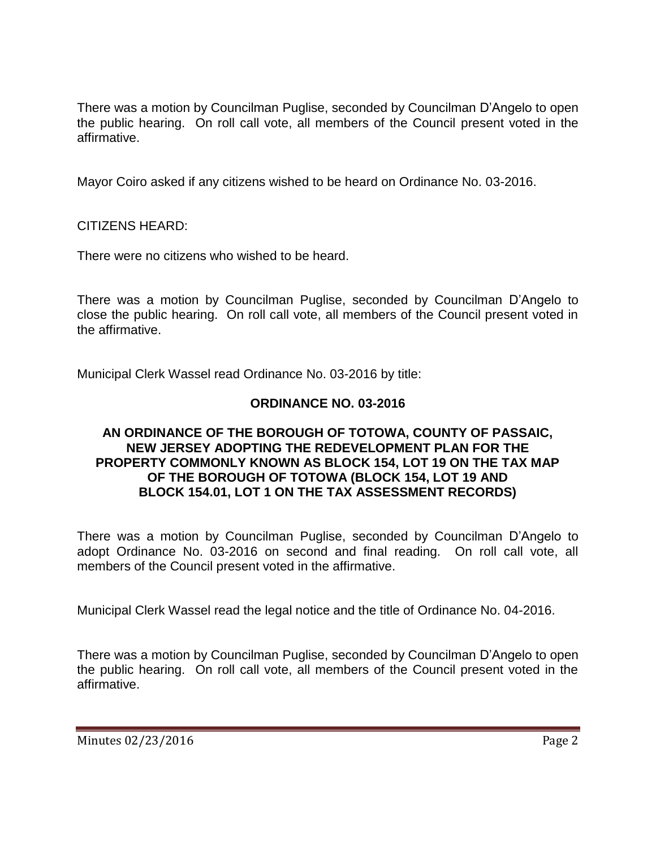There was a motion by Councilman Puglise, seconded by Councilman D'Angelo to open the public hearing. On roll call vote, all members of the Council present voted in the affirmative.

Mayor Coiro asked if any citizens wished to be heard on Ordinance No. 03-2016.

CITIZENS HEARD:

There were no citizens who wished to be heard.

There was a motion by Councilman Puglise, seconded by Councilman D'Angelo to close the public hearing. On roll call vote, all members of the Council present voted in the affirmative.

Municipal Clerk Wassel read Ordinance No. 03-2016 by title:

## **ORDINANCE NO. 03-2016**

#### **AN ORDINANCE OF THE BOROUGH OF TOTOWA, COUNTY OF PASSAIC, NEW JERSEY ADOPTING THE REDEVELOPMENT PLAN FOR THE PROPERTY COMMONLY KNOWN AS BLOCK 154, LOT 19 ON THE TAX MAP OF THE BOROUGH OF TOTOWA (BLOCK 154, LOT 19 AND BLOCK 154.01, LOT 1 ON THE TAX ASSESSMENT RECORDS)**

There was a motion by Councilman Puglise, seconded by Councilman D'Angelo to adopt Ordinance No. 03-2016 on second and final reading. On roll call vote, all members of the Council present voted in the affirmative.

Municipal Clerk Wassel read the legal notice and the title of Ordinance No. 04-2016.

There was a motion by Councilman Puglise, seconded by Councilman D'Angelo to open the public hearing. On roll call vote, all members of the Council present voted in the affirmative.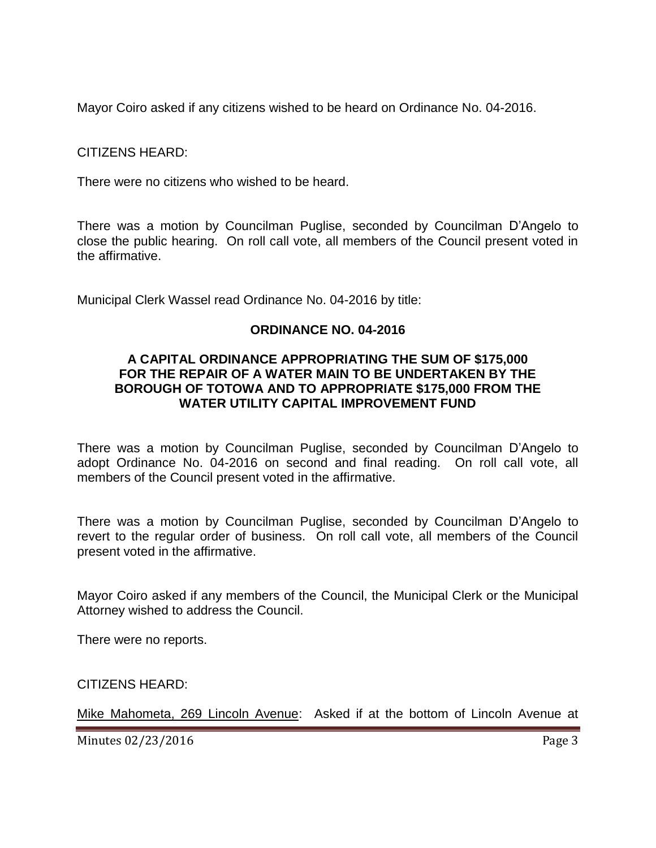Mayor Coiro asked if any citizens wished to be heard on Ordinance No. 04-2016.

CITIZENS HEARD:

There were no citizens who wished to be heard.

There was a motion by Councilman Puglise, seconded by Councilman D'Angelo to close the public hearing. On roll call vote, all members of the Council present voted in the affirmative.

Municipal Clerk Wassel read Ordinance No. 04-2016 by title:

### **ORDINANCE NO. 04-2016**

#### **A CAPITAL ORDINANCE APPROPRIATING THE SUM OF \$175,000 FOR THE REPAIR OF A WATER MAIN TO BE UNDERTAKEN BY THE BOROUGH OF TOTOWA AND TO APPROPRIATE \$175,000 FROM THE WATER UTILITY CAPITAL IMPROVEMENT FUND**

There was a motion by Councilman Puglise, seconded by Councilman D'Angelo to adopt Ordinance No. 04-2016 on second and final reading. On roll call vote, all members of the Council present voted in the affirmative.

There was a motion by Councilman Puglise, seconded by Councilman D'Angelo to revert to the regular order of business. On roll call vote, all members of the Council present voted in the affirmative.

Mayor Coiro asked if any members of the Council, the Municipal Clerk or the Municipal Attorney wished to address the Council.

There were no reports.

CITIZENS HEARD:

Mike Mahometa, 269 Lincoln Avenue: Asked if at the bottom of Lincoln Avenue at

Minutes 02/23/2016 **Page 3**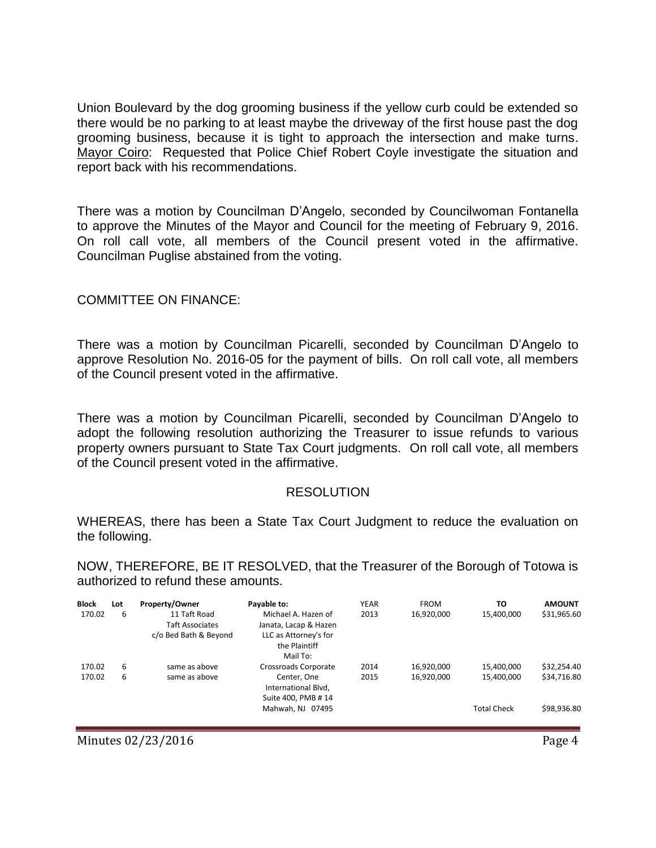Union Boulevard by the dog grooming business if the yellow curb could be extended so there would be no parking to at least maybe the driveway of the first house past the dog grooming business, because it is tight to approach the intersection and make turns. Mayor Coiro: Requested that Police Chief Robert Coyle investigate the situation and report back with his recommendations.

There was a motion by Councilman D'Angelo, seconded by Councilwoman Fontanella to approve the Minutes of the Mayor and Council for the meeting of February 9, 2016. On roll call vote, all members of the Council present voted in the affirmative. Councilman Puglise abstained from the voting.

#### COMMITTEE ON FINANCE:

There was a motion by Councilman Picarelli, seconded by Councilman D'Angelo to approve Resolution No. 2016-05 for the payment of bills. On roll call vote, all members of the Council present voted in the affirmative.

There was a motion by Councilman Picarelli, seconded by Councilman D'Angelo to adopt the following resolution authorizing the Treasurer to issue refunds to various property owners pursuant to State Tax Court judgments. On roll call vote, all members of the Council present voted in the affirmative.

#### RESOLUTION

WHEREAS, there has been a State Tax Court Judgment to reduce the evaluation on the following.

NOW, THEREFORE, BE IT RESOLVED, that the Treasurer of the Borough of Totowa is authorized to refund these amounts.

| <b>Block</b> | Lot | Property/Owner         | Payable to:                                  | <b>YEAR</b> | <b>FROM</b> | TO                 | <b>AMOUNT</b> |
|--------------|-----|------------------------|----------------------------------------------|-------------|-------------|--------------------|---------------|
| 170.02       | 6   | 11 Taft Road           | Michael A. Hazen of<br>Janata, Lacap & Hazen | 2013        | 16,920,000  | 15,400,000         | \$31,965.60   |
|              |     | <b>Taft Associates</b> |                                              |             |             |                    |               |
|              |     | c/o Bed Bath & Beyond  | LLC as Attorney's for                        |             |             |                    |               |
|              |     |                        | the Plaintiff                                |             |             |                    |               |
|              |     |                        | Mail To:                                     |             |             |                    |               |
| 170.02       | 6   | same as above          | Crossroads Corporate                         | 2014        | 16,920,000  | 15,400,000         | \$32,254.40   |
| 170.02       | 6   | same as above          | Center, One                                  | 2015        | 16,920,000  | 15,400,000         | \$34,716.80   |
|              |     |                        | International Blvd,                          |             |             |                    |               |
|              |     |                        | Suite 400, PMB #14                           |             |             |                    |               |
|              |     |                        | Mahwah, NJ 07495                             |             |             | <b>Total Check</b> | \$98,936.80   |
|              |     |                        |                                              |             |             |                    |               |

Minutes 02/23/2016 **Page 4**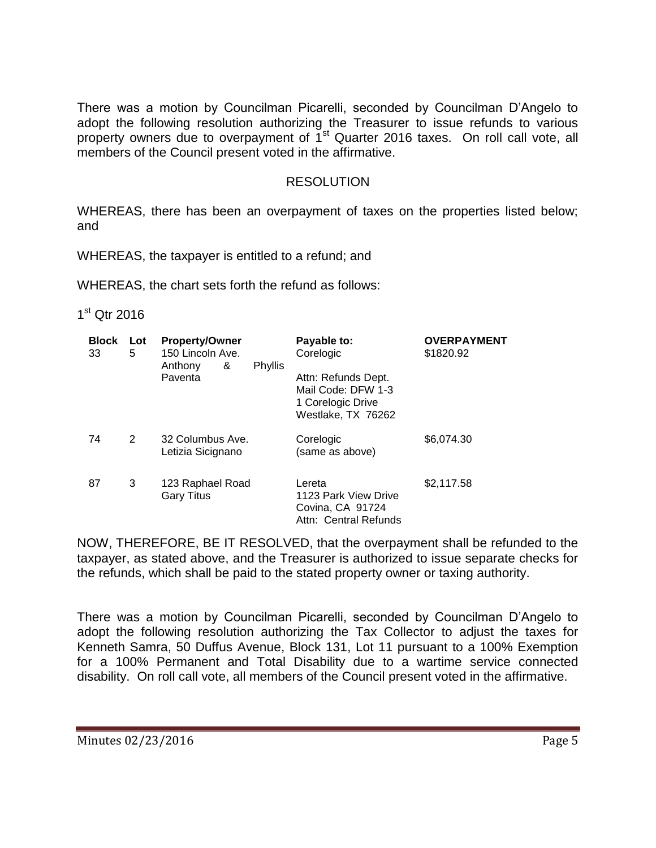There was a motion by Councilman Picarelli, seconded by Councilman D'Angelo to adopt the following resolution authorizing the Treasurer to issue refunds to various property owners due to overpayment of  $1<sup>st</sup>$  Quarter 2016 taxes. On roll call vote, all members of the Council present voted in the affirmative.

#### RESOLUTION

WHEREAS, there has been an overpayment of taxes on the properties listed below; and

WHEREAS, the taxpayer is entitled to a refund; and

WHEREAS, the chart sets forth the refund as follows:

## 1<sup>st</sup> Qtr 2016

| <b>Block</b><br>33 | Lot<br>5 | <b>Property/Owner</b><br>150 Lincoln Ave.<br>Anthony<br>&<br>Phyllis<br>Paventa | Payable to:<br>Corelogic<br>Attn: Refunds Dept.<br>Mail Code: DFW 1-3<br>1 Corelogic Drive<br>Westlake, TX 76262 | <b>OVERPAYMENT</b><br>\$1820.92 |
|--------------------|----------|---------------------------------------------------------------------------------|------------------------------------------------------------------------------------------------------------------|---------------------------------|
| 74                 | 2        | 32 Columbus Ave.<br>Letizia Sicignano                                           | Corelogic<br>(same as above)                                                                                     | \$6,074.30                      |
| 87                 | 3        | 123 Raphael Road<br><b>Gary Titus</b>                                           | Lereta<br>1123 Park View Drive<br>Covina, CA 91724<br>Attn: Central Refunds                                      | \$2,117.58                      |

NOW, THEREFORE, BE IT RESOLVED, that the overpayment shall be refunded to the taxpayer, as stated above, and the Treasurer is authorized to issue separate checks for the refunds, which shall be paid to the stated property owner or taxing authority.

There was a motion by Councilman Picarelli, seconded by Councilman D'Angelo to adopt the following resolution authorizing the Tax Collector to adjust the taxes for Kenneth Samra, 50 Duffus Avenue, Block 131, Lot 11 pursuant to a 100% Exemption for a 100% Permanent and Total Disability due to a wartime service connected disability. On roll call vote, all members of the Council present voted in the affirmative.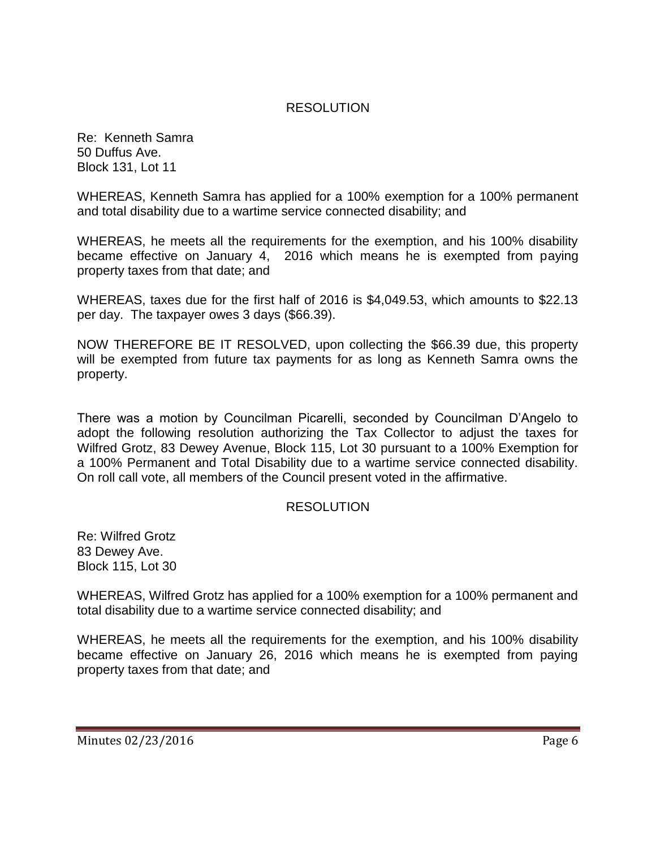### RESOLUTION

Re: Kenneth Samra 50 Duffus Ave. Block 131, Lot 11

WHEREAS, Kenneth Samra has applied for a 100% exemption for a 100% permanent and total disability due to a wartime service connected disability; and

WHEREAS, he meets all the requirements for the exemption, and his 100% disability became effective on January 4, 2016 which means he is exempted from paying property taxes from that date; and

WHEREAS, taxes due for the first half of 2016 is \$4,049.53, which amounts to \$22.13 per day. The taxpayer owes 3 days (\$66.39).

NOW THEREFORE BE IT RESOLVED, upon collecting the \$66.39 due, this property will be exempted from future tax payments for as long as Kenneth Samra owns the property.

There was a motion by Councilman Picarelli, seconded by Councilman D'Angelo to adopt the following resolution authorizing the Tax Collector to adjust the taxes for Wilfred Grotz, 83 Dewey Avenue, Block 115, Lot 30 pursuant to a 100% Exemption for a 100% Permanent and Total Disability due to a wartime service connected disability. On roll call vote, all members of the Council present voted in the affirmative.

#### RESOLUTION

Re: Wilfred Grotz 83 Dewey Ave. Block 115, Lot 30

WHEREAS, Wilfred Grotz has applied for a 100% exemption for a 100% permanent and total disability due to a wartime service connected disability; and

WHEREAS, he meets all the requirements for the exemption, and his 100% disability became effective on January 26, 2016 which means he is exempted from paying property taxes from that date; and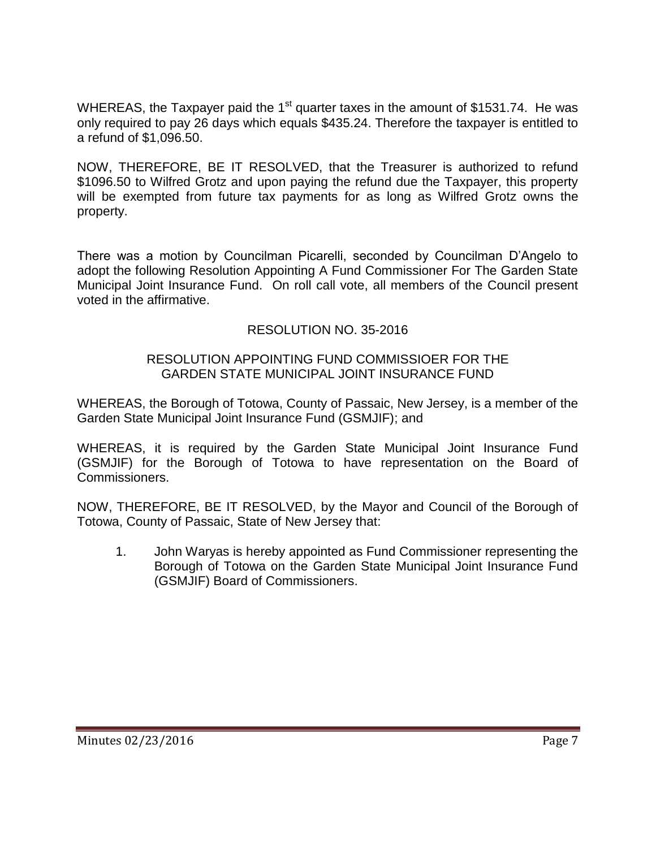WHEREAS, the Taxpayer paid the  $1<sup>st</sup>$  quarter taxes in the amount of \$1531.74. He was only required to pay 26 days which equals \$435.24. Therefore the taxpayer is entitled to a refund of \$1,096.50.

NOW, THEREFORE, BE IT RESOLVED, that the Treasurer is authorized to refund \$1096.50 to Wilfred Grotz and upon paying the refund due the Taxpayer, this property will be exempted from future tax payments for as long as Wilfred Grotz owns the property.

There was a motion by Councilman Picarelli, seconded by Councilman D'Angelo to adopt the following Resolution Appointing A Fund Commissioner For The Garden State Municipal Joint Insurance Fund. On roll call vote, all members of the Council present voted in the affirmative.

## RESOLUTION NO. 35-2016

### RESOLUTION APPOINTING FUND COMMISSIOER FOR THE GARDEN STATE MUNICIPAL JOINT INSURANCE FUND

WHEREAS, the Borough of Totowa, County of Passaic, New Jersey, is a member of the Garden State Municipal Joint Insurance Fund (GSMJIF); and

WHEREAS, it is required by the Garden State Municipal Joint Insurance Fund (GSMJIF) for the Borough of Totowa to have representation on the Board of Commissioners.

NOW, THEREFORE, BE IT RESOLVED, by the Mayor and Council of the Borough of Totowa, County of Passaic, State of New Jersey that:

1. John Waryas is hereby appointed as Fund Commissioner representing the Borough of Totowa on the Garden State Municipal Joint Insurance Fund (GSMJIF) Board of Commissioners.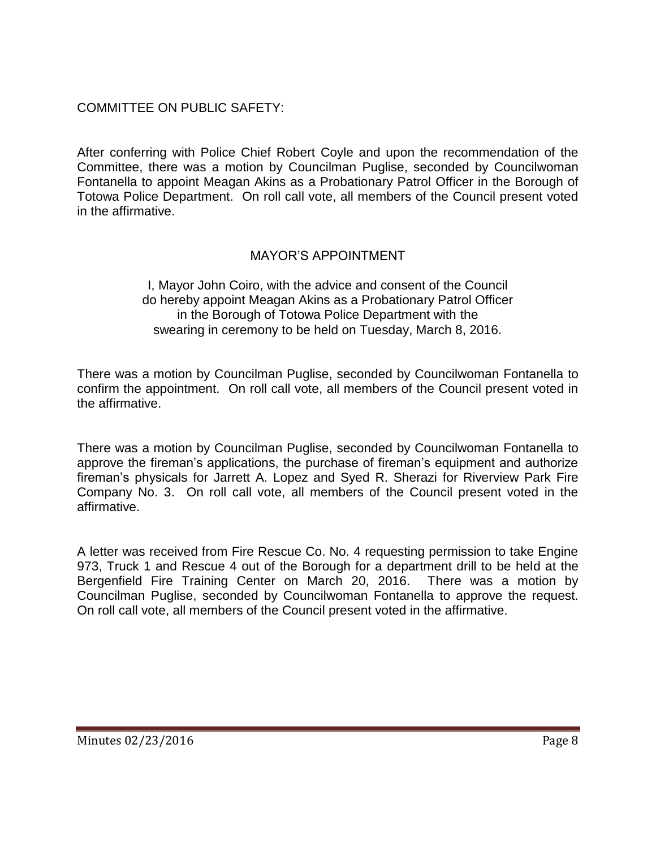## COMMITTEE ON PUBLIC SAFETY:

After conferring with Police Chief Robert Coyle and upon the recommendation of the Committee, there was a motion by Councilman Puglise, seconded by Councilwoman Fontanella to appoint Meagan Akins as a Probationary Patrol Officer in the Borough of Totowa Police Department. On roll call vote, all members of the Council present voted in the affirmative.

## MAYOR'S APPOINTMENT

I, Mayor John Coiro, with the advice and consent of the Council do hereby appoint Meagan Akins as a Probationary Patrol Officer in the Borough of Totowa Police Department with the swearing in ceremony to be held on Tuesday, March 8, 2016.

There was a motion by Councilman Puglise, seconded by Councilwoman Fontanella to confirm the appointment. On roll call vote, all members of the Council present voted in the affirmative.

There was a motion by Councilman Puglise, seconded by Councilwoman Fontanella to approve the fireman's applications, the purchase of fireman's equipment and authorize fireman's physicals for Jarrett A. Lopez and Syed R. Sherazi for Riverview Park Fire Company No. 3. On roll call vote, all members of the Council present voted in the affirmative.

A letter was received from Fire Rescue Co. No. 4 requesting permission to take Engine 973, Truck 1 and Rescue 4 out of the Borough for a department drill to be held at the Bergenfield Fire Training Center on March 20, 2016. There was a motion by Councilman Puglise, seconded by Councilwoman Fontanella to approve the request. On roll call vote, all members of the Council present voted in the affirmative.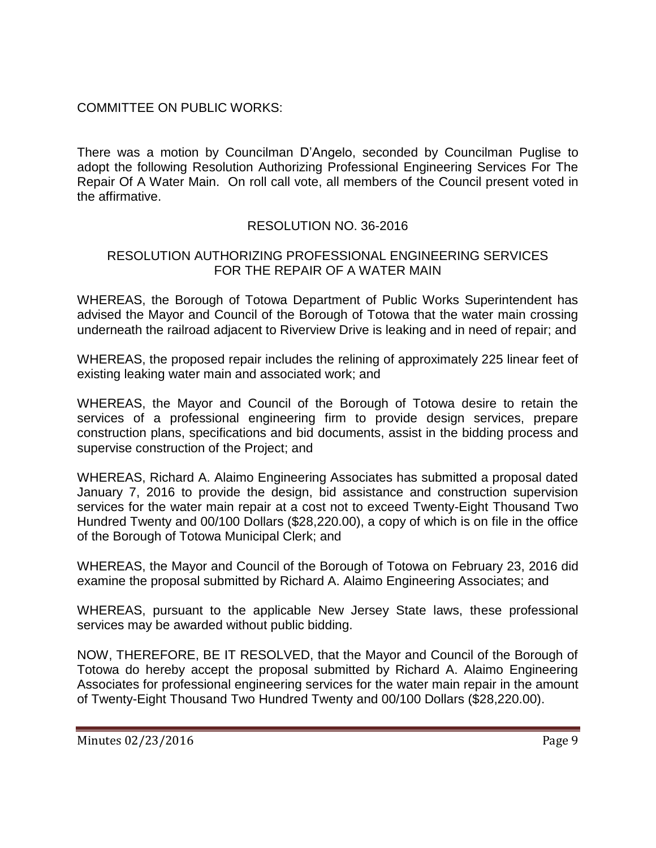## COMMITTEE ON PUBLIC WORKS:

There was a motion by Councilman D'Angelo, seconded by Councilman Puglise to adopt the following Resolution Authorizing Professional Engineering Services For The Repair Of A Water Main. On roll call vote, all members of the Council present voted in the affirmative.

## RESOLUTION NO. 36-2016

### RESOLUTION AUTHORIZING PROFESSIONAL ENGINEERING SERVICES FOR THE REPAIR OF A WATER MAIN

WHEREAS, the Borough of Totowa Department of Public Works Superintendent has advised the Mayor and Council of the Borough of Totowa that the water main crossing underneath the railroad adjacent to Riverview Drive is leaking and in need of repair; and

WHEREAS, the proposed repair includes the relining of approximately 225 linear feet of existing leaking water main and associated work; and

WHEREAS, the Mayor and Council of the Borough of Totowa desire to retain the services of a professional engineering firm to provide design services, prepare construction plans, specifications and bid documents, assist in the bidding process and supervise construction of the Project; and

WHEREAS, Richard A. Alaimo Engineering Associates has submitted a proposal dated January 7, 2016 to provide the design, bid assistance and construction supervision services for the water main repair at a cost not to exceed Twenty-Eight Thousand Two Hundred Twenty and 00/100 Dollars (\$28,220.00), a copy of which is on file in the office of the Borough of Totowa Municipal Clerk; and

WHEREAS, the Mayor and Council of the Borough of Totowa on February 23, 2016 did examine the proposal submitted by Richard A. Alaimo Engineering Associates; and

WHEREAS, pursuant to the applicable New Jersey State laws, these professional services may be awarded without public bidding.

NOW, THEREFORE, BE IT RESOLVED, that the Mayor and Council of the Borough of Totowa do hereby accept the proposal submitted by Richard A. Alaimo Engineering Associates for professional engineering services for the water main repair in the amount of Twenty-Eight Thousand Two Hundred Twenty and 00/100 Dollars (\$28,220.00).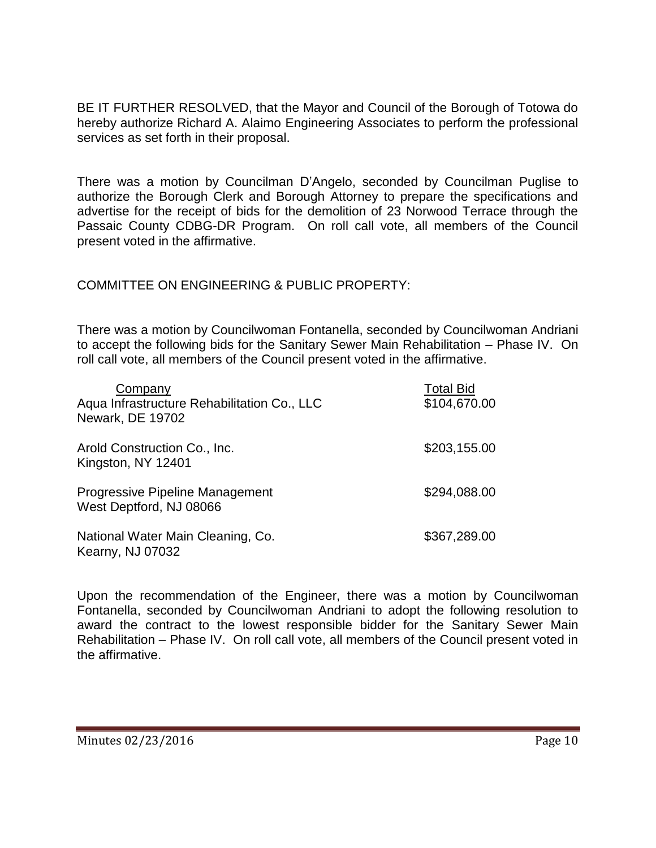BE IT FURTHER RESOLVED, that the Mayor and Council of the Borough of Totowa do hereby authorize Richard A. Alaimo Engineering Associates to perform the professional services as set forth in their proposal.

There was a motion by Councilman D'Angelo, seconded by Councilman Puglise to authorize the Borough Clerk and Borough Attorney to prepare the specifications and advertise for the receipt of bids for the demolition of 23 Norwood Terrace through the Passaic County CDBG-DR Program. On roll call vote, all members of the Council present voted in the affirmative.

### COMMITTEE ON ENGINEERING & PUBLIC PROPERTY:

There was a motion by Councilwoman Fontanella, seconded by Councilwoman Andriani to accept the following bids for the Sanitary Sewer Main Rehabilitation – Phase IV. On roll call vote, all members of the Council present voted in the affirmative.

| Company<br>Aqua Infrastructure Rehabilitation Co., LLC<br>Newark, DE 19702 | <b>Total Bid</b><br>\$104,670.00 |
|----------------------------------------------------------------------------|----------------------------------|
| Arold Construction Co., Inc.<br>Kingston, NY 12401                         | \$203,155.00                     |
| Progressive Pipeline Management<br>West Deptford, NJ 08066                 | \$294,088.00                     |
| National Water Main Cleaning, Co.<br>Kearny, NJ 07032                      | \$367,289.00                     |

Upon the recommendation of the Engineer, there was a motion by Councilwoman Fontanella, seconded by Councilwoman Andriani to adopt the following resolution to award the contract to the lowest responsible bidder for the Sanitary Sewer Main Rehabilitation – Phase IV. On roll call vote, all members of the Council present voted in the affirmative.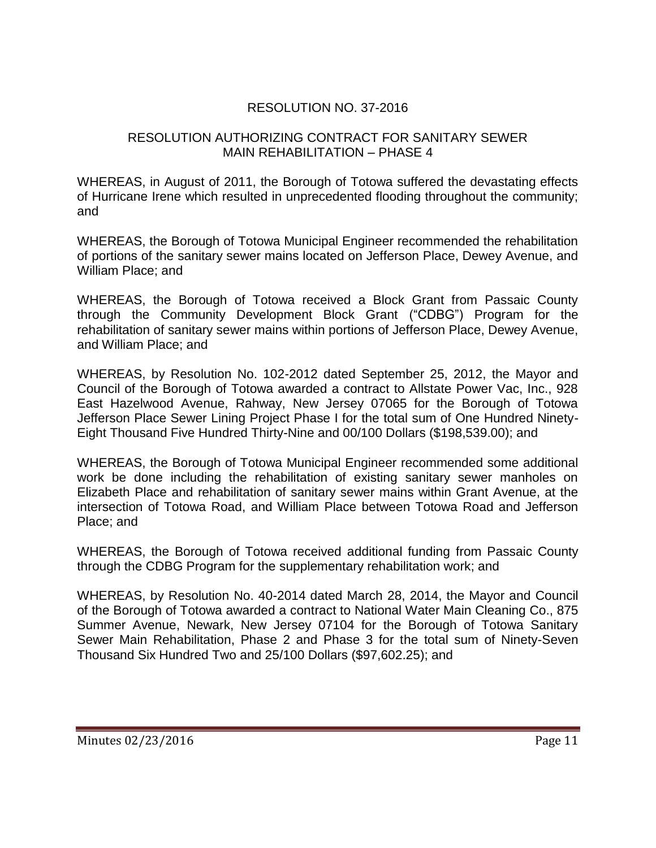## RESOLUTION NO. 37-2016

### RESOLUTION AUTHORIZING CONTRACT FOR SANITARY SEWER MAIN REHABILITATION – PHASE 4

WHEREAS, in August of 2011, the Borough of Totowa suffered the devastating effects of Hurricane Irene which resulted in unprecedented flooding throughout the community; and

WHEREAS, the Borough of Totowa Municipal Engineer recommended the rehabilitation of portions of the sanitary sewer mains located on Jefferson Place, Dewey Avenue, and William Place; and

WHEREAS, the Borough of Totowa received a Block Grant from Passaic County through the Community Development Block Grant ("CDBG") Program for the rehabilitation of sanitary sewer mains within portions of Jefferson Place, Dewey Avenue, and William Place; and

WHEREAS, by Resolution No. 102-2012 dated September 25, 2012, the Mayor and Council of the Borough of Totowa awarded a contract to Allstate Power Vac, Inc., 928 East Hazelwood Avenue, Rahway, New Jersey 07065 for the Borough of Totowa Jefferson Place Sewer Lining Project Phase I for the total sum of One Hundred Ninety-Eight Thousand Five Hundred Thirty-Nine and 00/100 Dollars (\$198,539.00); and

WHEREAS, the Borough of Totowa Municipal Engineer recommended some additional work be done including the rehabilitation of existing sanitary sewer manholes on Elizabeth Place and rehabilitation of sanitary sewer mains within Grant Avenue, at the intersection of Totowa Road, and William Place between Totowa Road and Jefferson Place; and

WHEREAS, the Borough of Totowa received additional funding from Passaic County through the CDBG Program for the supplementary rehabilitation work; and

WHEREAS, by Resolution No. 40-2014 dated March 28, 2014, the Mayor and Council of the Borough of Totowa awarded a contract to National Water Main Cleaning Co., 875 Summer Avenue, Newark, New Jersey 07104 for the Borough of Totowa Sanitary Sewer Main Rehabilitation, Phase 2 and Phase 3 for the total sum of Ninety-Seven Thousand Six Hundred Two and 25/100 Dollars (\$97,602.25); and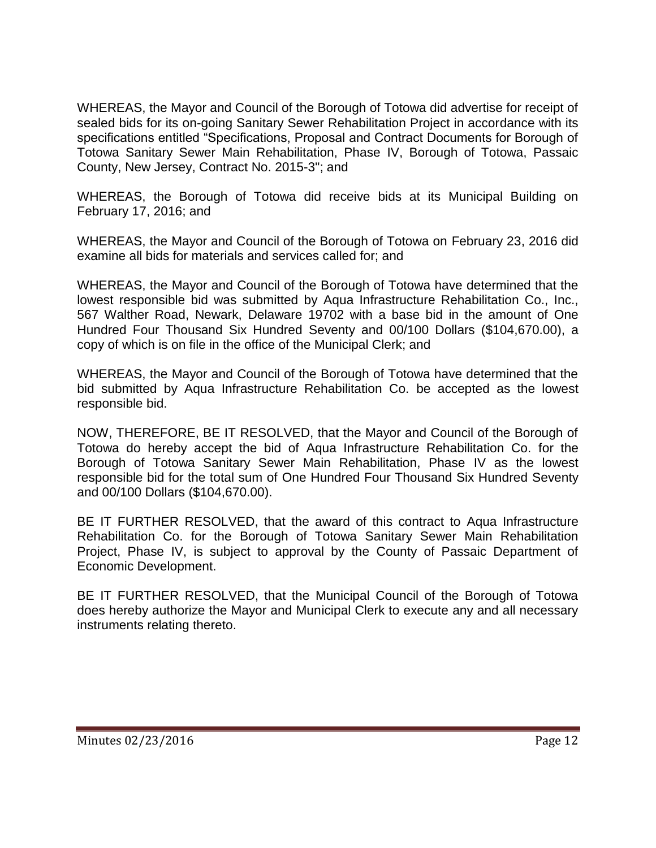WHEREAS, the Mayor and Council of the Borough of Totowa did advertise for receipt of sealed bids for its on-going Sanitary Sewer Rehabilitation Project in accordance with its specifications entitled "Specifications, Proposal and Contract Documents for Borough of Totowa Sanitary Sewer Main Rehabilitation, Phase IV, Borough of Totowa, Passaic County, New Jersey, Contract No. 2015-3"; and

WHEREAS, the Borough of Totowa did receive bids at its Municipal Building on February 17, 2016; and

WHEREAS, the Mayor and Council of the Borough of Totowa on February 23, 2016 did examine all bids for materials and services called for; and

WHEREAS, the Mayor and Council of the Borough of Totowa have determined that the lowest responsible bid was submitted by Aqua Infrastructure Rehabilitation Co., Inc., 567 Walther Road, Newark, Delaware 19702 with a base bid in the amount of One Hundred Four Thousand Six Hundred Seventy and 00/100 Dollars (\$104,670.00), a copy of which is on file in the office of the Municipal Clerk; and

WHEREAS, the Mayor and Council of the Borough of Totowa have determined that the bid submitted by Aqua Infrastructure Rehabilitation Co. be accepted as the lowest responsible bid.

NOW, THEREFORE, BE IT RESOLVED, that the Mayor and Council of the Borough of Totowa do hereby accept the bid of Aqua Infrastructure Rehabilitation Co. for the Borough of Totowa Sanitary Sewer Main Rehabilitation, Phase IV as the lowest responsible bid for the total sum of One Hundred Four Thousand Six Hundred Seventy and 00/100 Dollars (\$104,670.00).

BE IT FURTHER RESOLVED, that the award of this contract to Aqua Infrastructure Rehabilitation Co. for the Borough of Totowa Sanitary Sewer Main Rehabilitation Project, Phase IV, is subject to approval by the County of Passaic Department of Economic Development.

BE IT FURTHER RESOLVED, that the Municipal Council of the Borough of Totowa does hereby authorize the Mayor and Municipal Clerk to execute any and all necessary instruments relating thereto.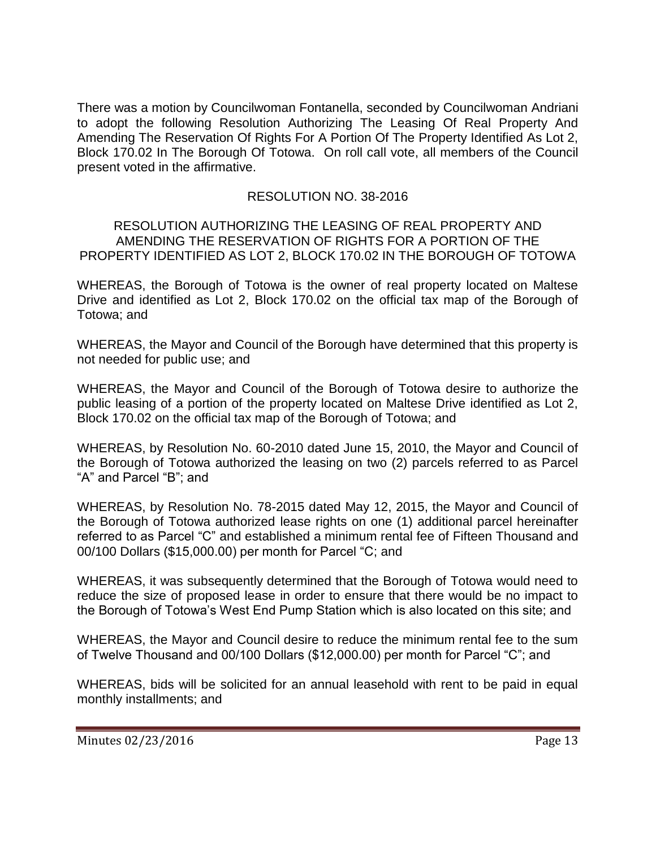There was a motion by Councilwoman Fontanella, seconded by Councilwoman Andriani to adopt the following Resolution Authorizing The Leasing Of Real Property And Amending The Reservation Of Rights For A Portion Of The Property Identified As Lot 2, Block 170.02 In The Borough Of Totowa. On roll call vote, all members of the Council present voted in the affirmative.

## RESOLUTION NO. 38-2016

### RESOLUTION AUTHORIZING THE LEASING OF REAL PROPERTY AND AMENDING THE RESERVATION OF RIGHTS FOR A PORTION OF THE PROPERTY IDENTIFIED AS LOT 2, BLOCK 170.02 IN THE BOROUGH OF TOTOWA

WHEREAS, the Borough of Totowa is the owner of real property located on Maltese Drive and identified as Lot 2, Block 170.02 on the official tax map of the Borough of Totowa; and

WHEREAS, the Mayor and Council of the Borough have determined that this property is not needed for public use; and

WHEREAS, the Mayor and Council of the Borough of Totowa desire to authorize the public leasing of a portion of the property located on Maltese Drive identified as Lot 2, Block 170.02 on the official tax map of the Borough of Totowa; and

WHEREAS, by Resolution No. 60-2010 dated June 15, 2010, the Mayor and Council of the Borough of Totowa authorized the leasing on two (2) parcels referred to as Parcel "A" and Parcel "B"; and

WHEREAS, by Resolution No. 78-2015 dated May 12, 2015, the Mayor and Council of the Borough of Totowa authorized lease rights on one (1) additional parcel hereinafter referred to as Parcel "C" and established a minimum rental fee of Fifteen Thousand and 00/100 Dollars (\$15,000.00) per month for Parcel "C; and

WHEREAS, it was subsequently determined that the Borough of Totowa would need to reduce the size of proposed lease in order to ensure that there would be no impact to the Borough of Totowa's West End Pump Station which is also located on this site; and

WHEREAS, the Mayor and Council desire to reduce the minimum rental fee to the sum of Twelve Thousand and 00/100 Dollars (\$12,000.00) per month for Parcel "C"; and

WHEREAS, bids will be solicited for an annual leasehold with rent to be paid in equal monthly installments; and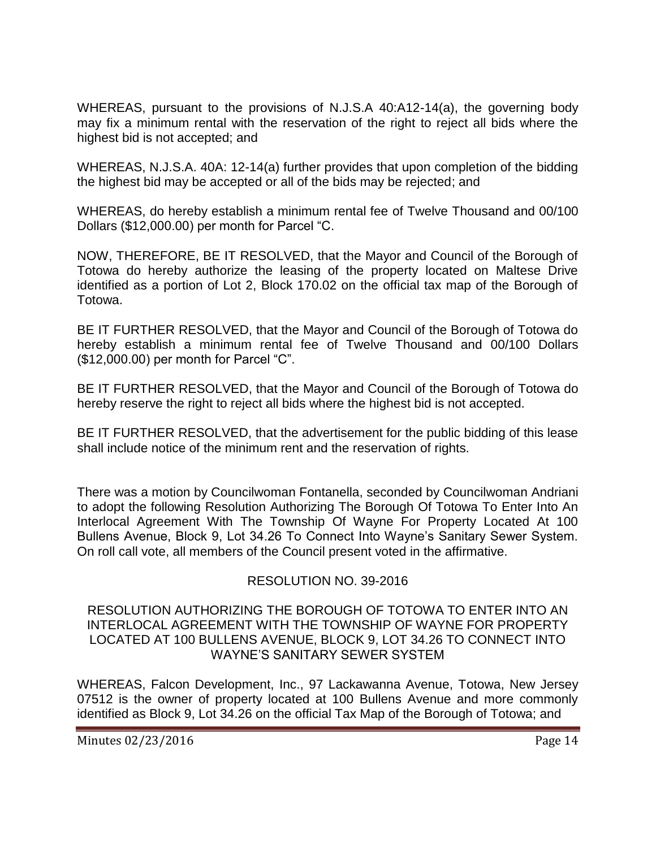WHEREAS, pursuant to the provisions of N.J.S.A 40:A12-14(a), the governing body may fix a minimum rental with the reservation of the right to reject all bids where the highest bid is not accepted; and

WHEREAS, N.J.S.A. 40A: 12-14(a) further provides that upon completion of the bidding the highest bid may be accepted or all of the bids may be rejected; and

WHEREAS, do hereby establish a minimum rental fee of Twelve Thousand and 00/100 Dollars (\$12,000.00) per month for Parcel "C.

NOW, THEREFORE, BE IT RESOLVED, that the Mayor and Council of the Borough of Totowa do hereby authorize the leasing of the property located on Maltese Drive identified as a portion of Lot 2, Block 170.02 on the official tax map of the Borough of Totowa.

BE IT FURTHER RESOLVED, that the Mayor and Council of the Borough of Totowa do hereby establish a minimum rental fee of Twelve Thousand and 00/100 Dollars (\$12,000.00) per month for Parcel "C".

BE IT FURTHER RESOLVED, that the Mayor and Council of the Borough of Totowa do hereby reserve the right to reject all bids where the highest bid is not accepted.

BE IT FURTHER RESOLVED, that the advertisement for the public bidding of this lease shall include notice of the minimum rent and the reservation of rights.

There was a motion by Councilwoman Fontanella, seconded by Councilwoman Andriani to adopt the following Resolution Authorizing The Borough Of Totowa To Enter Into An Interlocal Agreement With The Township Of Wayne For Property Located At 100 Bullens Avenue, Block 9, Lot 34.26 To Connect Into Wayne's Sanitary Sewer System. On roll call vote, all members of the Council present voted in the affirmative.

## RESOLUTION NO. 39-2016

#### RESOLUTION AUTHORIZING THE BOROUGH OF TOTOWA TO ENTER INTO AN INTERLOCAL AGREEMENT WITH THE TOWNSHIP OF WAYNE FOR PROPERTY LOCATED AT 100 BULLENS AVENUE, BLOCK 9, LOT 34.26 TO CONNECT INTO WAYNE'S SANITARY SEWER SYSTEM

WHEREAS, Falcon Development, Inc., 97 Lackawanna Avenue, Totowa, New Jersey 07512 is the owner of property located at 100 Bullens Avenue and more commonly identified as Block 9, Lot 34.26 on the official Tax Map of the Borough of Totowa; and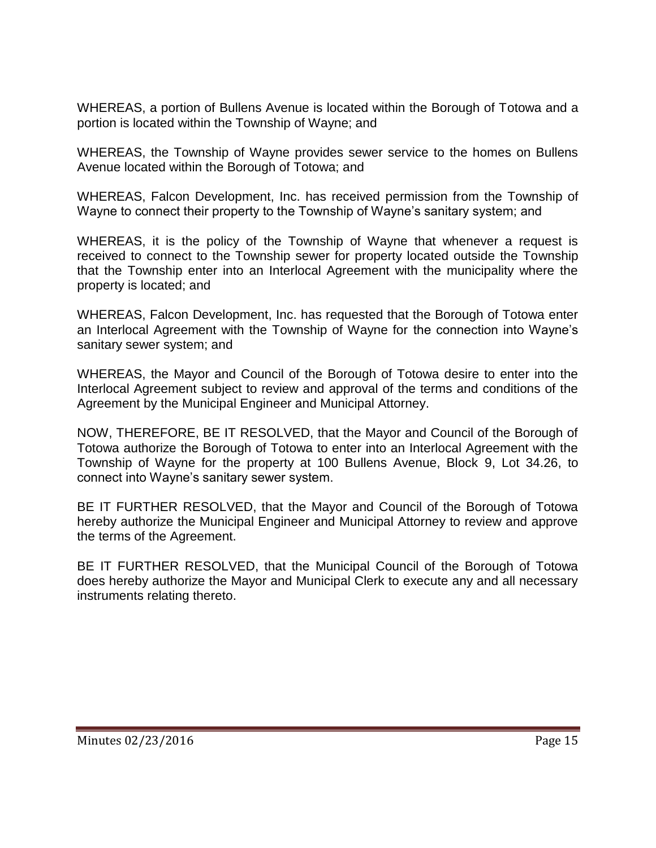WHEREAS, a portion of Bullens Avenue is located within the Borough of Totowa and a portion is located within the Township of Wayne; and

WHEREAS, the Township of Wayne provides sewer service to the homes on Bullens Avenue located within the Borough of Totowa; and

WHEREAS, Falcon Development, Inc. has received permission from the Township of Wayne to connect their property to the Township of Wayne's sanitary system; and

WHEREAS, it is the policy of the Township of Wayne that whenever a request is received to connect to the Township sewer for property located outside the Township that the Township enter into an Interlocal Agreement with the municipality where the property is located; and

WHEREAS, Falcon Development, Inc. has requested that the Borough of Totowa enter an Interlocal Agreement with the Township of Wayne for the connection into Wayne's sanitary sewer system; and

WHEREAS, the Mayor and Council of the Borough of Totowa desire to enter into the Interlocal Agreement subject to review and approval of the terms and conditions of the Agreement by the Municipal Engineer and Municipal Attorney.

NOW, THEREFORE, BE IT RESOLVED, that the Mayor and Council of the Borough of Totowa authorize the Borough of Totowa to enter into an Interlocal Agreement with the Township of Wayne for the property at 100 Bullens Avenue, Block 9, Lot 34.26, to connect into Wayne's sanitary sewer system.

BE IT FURTHER RESOLVED, that the Mayor and Council of the Borough of Totowa hereby authorize the Municipal Engineer and Municipal Attorney to review and approve the terms of the Agreement.

BE IT FURTHER RESOLVED, that the Municipal Council of the Borough of Totowa does hereby authorize the Mayor and Municipal Clerk to execute any and all necessary instruments relating thereto.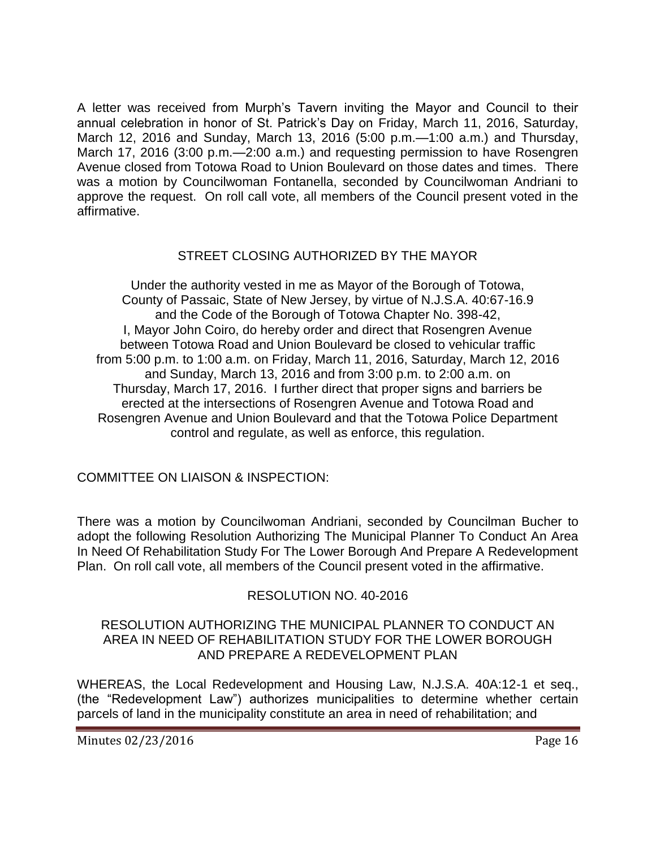A letter was received from Murph's Tavern inviting the Mayor and Council to their annual celebration in honor of St. Patrick's Day on Friday, March 11, 2016, Saturday, March 12, 2016 and Sunday, March 13, 2016 (5:00 p.m.—1:00 a.m.) and Thursday, March 17, 2016 (3:00 p.m.—2:00 a.m.) and requesting permission to have Rosengren Avenue closed from Totowa Road to Union Boulevard on those dates and times. There was a motion by Councilwoman Fontanella, seconded by Councilwoman Andriani to approve the request. On roll call vote, all members of the Council present voted in the affirmative.

## STREET CLOSING AUTHORIZED BY THE MAYOR

Under the authority vested in me as Mayor of the Borough of Totowa, County of Passaic, State of New Jersey, by virtue of N.J.S.A. 40:67-16.9 and the Code of the Borough of Totowa Chapter No. 398-42, I, Mayor John Coiro, do hereby order and direct that Rosengren Avenue between Totowa Road and Union Boulevard be closed to vehicular traffic from 5:00 p.m. to 1:00 a.m. on Friday, March 11, 2016, Saturday, March 12, 2016 and Sunday, March 13, 2016 and from 3:00 p.m. to 2:00 a.m. on Thursday, March 17, 2016. I further direct that proper signs and barriers be erected at the intersections of Rosengren Avenue and Totowa Road and Rosengren Avenue and Union Boulevard and that the Totowa Police Department control and regulate, as well as enforce, this regulation.

COMMITTEE ON LIAISON & INSPECTION:

There was a motion by Councilwoman Andriani, seconded by Councilman Bucher to adopt the following Resolution Authorizing The Municipal Planner To Conduct An Area In Need Of Rehabilitation Study For The Lower Borough And Prepare A Redevelopment Plan. On roll call vote, all members of the Council present voted in the affirmative.

# RESOLUTION NO. 40-2016

### RESOLUTION AUTHORIZING THE MUNICIPAL PLANNER TO CONDUCT AN AREA IN NEED OF REHABILITATION STUDY FOR THE LOWER BOROUGH AND PREPARE A REDEVELOPMENT PLAN

WHEREAS, the Local Redevelopment and Housing Law, N.J.S.A. 40A:12-1 et seq., (the "Redevelopment Law") authorizes municipalities to determine whether certain parcels of land in the municipality constitute an area in need of rehabilitation; and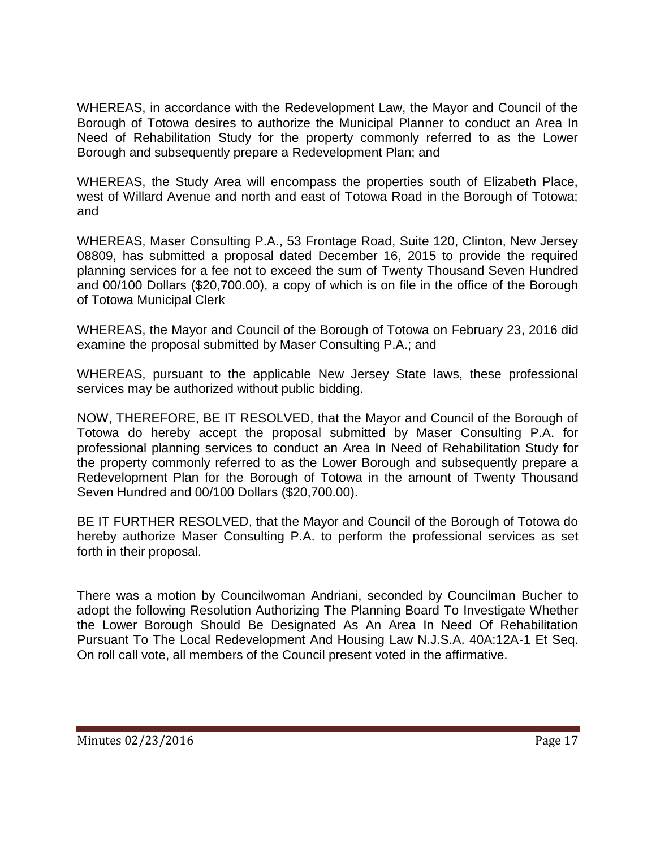WHEREAS, in accordance with the Redevelopment Law, the Mayor and Council of the Borough of Totowa desires to authorize the Municipal Planner to conduct an Area In Need of Rehabilitation Study for the property commonly referred to as the Lower Borough and subsequently prepare a Redevelopment Plan; and

WHEREAS, the Study Area will encompass the properties south of Elizabeth Place, west of Willard Avenue and north and east of Totowa Road in the Borough of Totowa; and

WHEREAS, Maser Consulting P.A., 53 Frontage Road, Suite 120, Clinton, New Jersey 08809, has submitted a proposal dated December 16, 2015 to provide the required planning services for a fee not to exceed the sum of Twenty Thousand Seven Hundred and 00/100 Dollars (\$20,700.00), a copy of which is on file in the office of the Borough of Totowa Municipal Clerk

WHEREAS, the Mayor and Council of the Borough of Totowa on February 23, 2016 did examine the proposal submitted by Maser Consulting P.A.; and

WHEREAS, pursuant to the applicable New Jersey State laws, these professional services may be authorized without public bidding.

NOW, THEREFORE, BE IT RESOLVED, that the Mayor and Council of the Borough of Totowa do hereby accept the proposal submitted by Maser Consulting P.A. for professional planning services to conduct an Area In Need of Rehabilitation Study for the property commonly referred to as the Lower Borough and subsequently prepare a Redevelopment Plan for the Borough of Totowa in the amount of Twenty Thousand Seven Hundred and 00/100 Dollars (\$20,700.00).

BE IT FURTHER RESOLVED, that the Mayor and Council of the Borough of Totowa do hereby authorize Maser Consulting P.A. to perform the professional services as set forth in their proposal.

There was a motion by Councilwoman Andriani, seconded by Councilman Bucher to adopt the following Resolution Authorizing The Planning Board To Investigate Whether the Lower Borough Should Be Designated As An Area In Need Of Rehabilitation Pursuant To The Local Redevelopment And Housing Law N.J.S.A. 40A:12A-1 Et Seq. On roll call vote, all members of the Council present voted in the affirmative.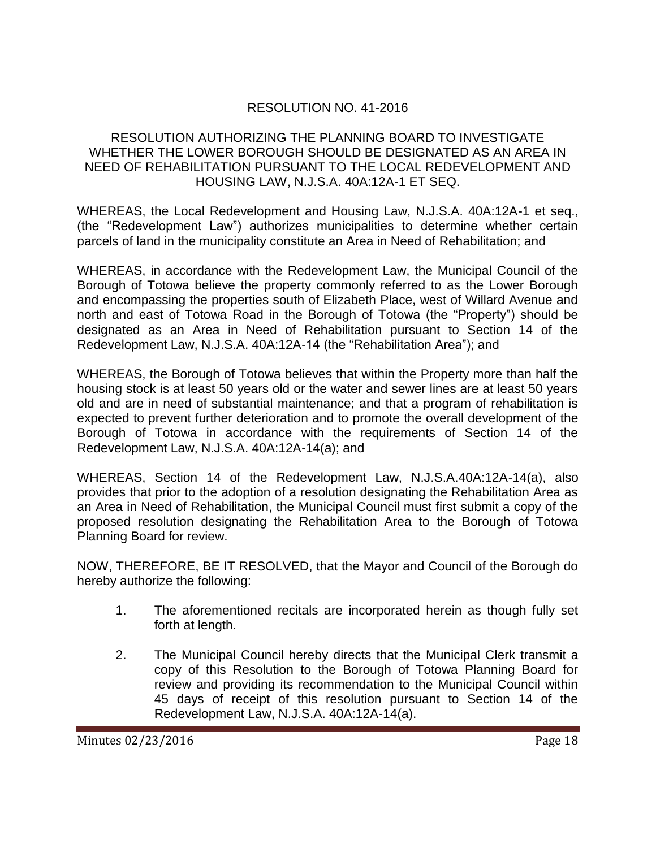# RESOLUTION NO. 41-2016

#### RESOLUTION AUTHORIZING THE PLANNING BOARD TO INVESTIGATE WHETHER THE LOWER BOROUGH SHOULD BE DESIGNATED AS AN AREA IN NEED OF REHABILITATION PURSUANT TO THE LOCAL REDEVELOPMENT AND HOUSING LAW, N.J.S.A. 40A:12A-1 ET SEQ.

WHEREAS, the Local Redevelopment and Housing Law, N.J.S.A. 40A:12A-1 et seq., (the "Redevelopment Law") authorizes municipalities to determine whether certain parcels of land in the municipality constitute an Area in Need of Rehabilitation; and

WHEREAS, in accordance with the Redevelopment Law, the Municipal Council of the Borough of Totowa believe the property commonly referred to as the Lower Borough and encompassing the properties south of Elizabeth Place, west of Willard Avenue and north and east of Totowa Road in the Borough of Totowa (the "Property") should be designated as an Area in Need of Rehabilitation pursuant to Section 14 of the Redevelopment Law, N.J.S.A. 40A:12A-14 (the "Rehabilitation Area"); and

WHEREAS, the Borough of Totowa believes that within the Property more than half the housing stock is at least 50 years old or the water and sewer lines are at least 50 years old and are in need of substantial maintenance; and that a program of rehabilitation is expected to prevent further deterioration and to promote the overall development of the Borough of Totowa in accordance with the requirements of Section 14 of the Redevelopment Law, N.J.S.A. 40A:12A-14(a); and

WHEREAS, Section 14 of the Redevelopment Law, N.J.S.A.40A:12A-14(a), also provides that prior to the adoption of a resolution designating the Rehabilitation Area as an Area in Need of Rehabilitation, the Municipal Council must first submit a copy of the proposed resolution designating the Rehabilitation Area to the Borough of Totowa Planning Board for review.

NOW, THEREFORE, BE IT RESOLVED, that the Mayor and Council of the Borough do hereby authorize the following:

- 1. The aforementioned recitals are incorporated herein as though fully set forth at length.
- 2. The Municipal Council hereby directs that the Municipal Clerk transmit a copy of this Resolution to the Borough of Totowa Planning Board for review and providing its recommendation to the Municipal Council within 45 days of receipt of this resolution pursuant to Section 14 of the Redevelopment Law, N.J.S.A. 40A:12A-14(a).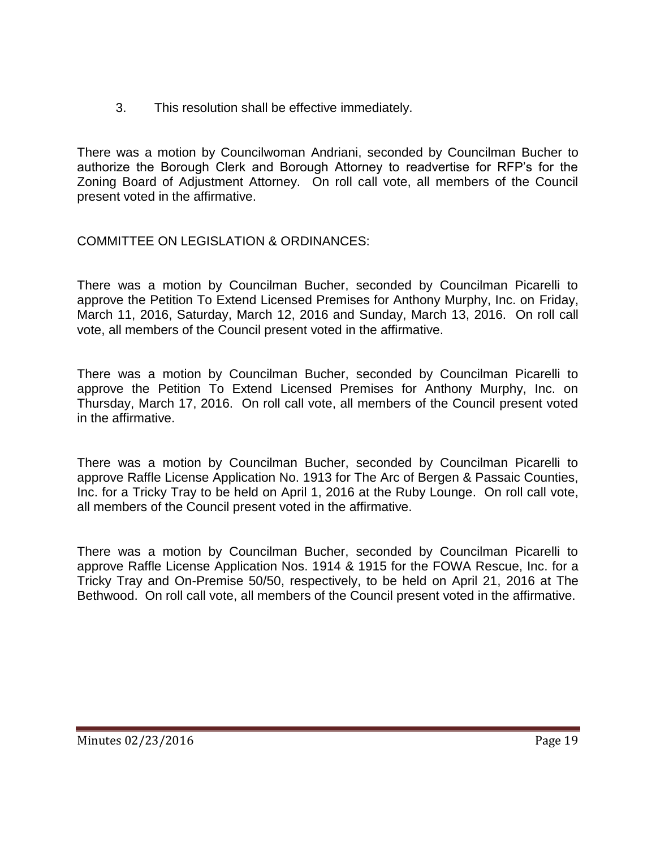3. This resolution shall be effective immediately.

There was a motion by Councilwoman Andriani, seconded by Councilman Bucher to authorize the Borough Clerk and Borough Attorney to readvertise for RFP's for the Zoning Board of Adjustment Attorney. On roll call vote, all members of the Council present voted in the affirmative.

COMMITTEE ON LEGISLATION & ORDINANCES:

There was a motion by Councilman Bucher, seconded by Councilman Picarelli to approve the Petition To Extend Licensed Premises for Anthony Murphy, Inc. on Friday, March 11, 2016, Saturday, March 12, 2016 and Sunday, March 13, 2016. On roll call vote, all members of the Council present voted in the affirmative.

There was a motion by Councilman Bucher, seconded by Councilman Picarelli to approve the Petition To Extend Licensed Premises for Anthony Murphy, Inc. on Thursday, March 17, 2016. On roll call vote, all members of the Council present voted in the affirmative.

There was a motion by Councilman Bucher, seconded by Councilman Picarelli to approve Raffle License Application No. 1913 for The Arc of Bergen & Passaic Counties, Inc. for a Tricky Tray to be held on April 1, 2016 at the Ruby Lounge. On roll call vote, all members of the Council present voted in the affirmative.

There was a motion by Councilman Bucher, seconded by Councilman Picarelli to approve Raffle License Application Nos. 1914 & 1915 for the FOWA Rescue, Inc. for a Tricky Tray and On-Premise 50/50, respectively, to be held on April 21, 2016 at The Bethwood. On roll call vote, all members of the Council present voted in the affirmative.